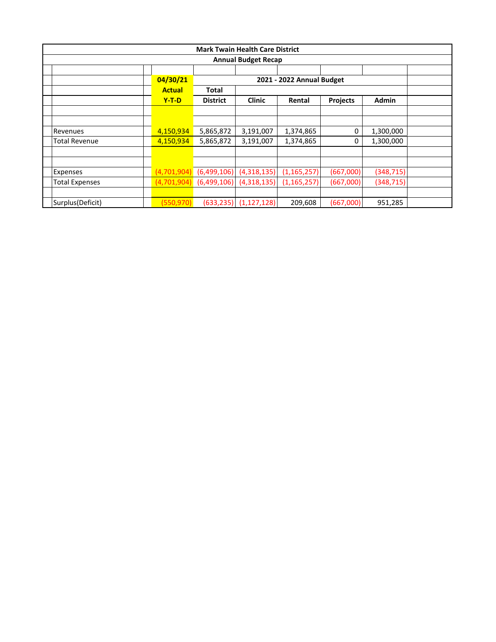|                                       |               |                             | <b>Mark Twain Health Care District</b> |               |                 |              |  |  |  |  |
|---------------------------------------|---------------|-----------------------------|----------------------------------------|---------------|-----------------|--------------|--|--|--|--|
| <b>Annual Budget Recap</b>            |               |                             |                                        |               |                 |              |  |  |  |  |
|                                       |               |                             |                                        |               |                 |              |  |  |  |  |
| 04/30/21<br>2021 - 2022 Annual Budget |               |                             |                                        |               |                 |              |  |  |  |  |
|                                       | <b>Actual</b> | Total                       |                                        |               |                 |              |  |  |  |  |
|                                       | $Y-T-D$       | <b>District</b>             | <b>Clinic</b>                          | Rental        | <b>Projects</b> | <b>Admin</b> |  |  |  |  |
|                                       |               |                             |                                        |               |                 |              |  |  |  |  |
|                                       |               |                             |                                        |               |                 |              |  |  |  |  |
| Revenues                              | 4,150,934     | 5,865,872                   | 3,191,007                              | 1,374,865     | 0               | 1,300,000    |  |  |  |  |
| <b>Total Revenue</b>                  | 4,150,934     | 5,865,872                   | 3,191,007                              | 1,374,865     | 0               | 1,300,000    |  |  |  |  |
|                                       |               |                             |                                        |               |                 |              |  |  |  |  |
|                                       |               |                             |                                        |               |                 |              |  |  |  |  |
| Expenses                              |               | $(4,701,904)$ $(6,499,106)$ | (4,318,135)                            | (1, 165, 257) | (667,000)       | (348, 715)   |  |  |  |  |
| <b>Total Expenses</b>                 |               | $(4,701,904)$ $(6,499,106)$ | (4,318,135)                            | (1, 165, 257) | (667,000)       | (348, 715)   |  |  |  |  |
|                                       |               |                             |                                        |               |                 |              |  |  |  |  |
| Surplus (Deficit)                     | (550,970)     | (633, 235)                  | (1, 127, 128)                          | 209,608       | (667,000)       | 951,285      |  |  |  |  |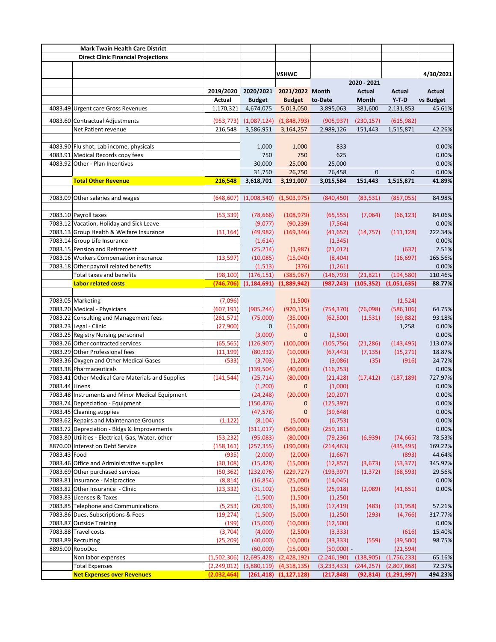| <b>Mark Twain Health Care District</b> |                                                   |               |                                     |                       |               |               |              |           |
|----------------------------------------|---------------------------------------------------|---------------|-------------------------------------|-----------------------|---------------|---------------|--------------|-----------|
|                                        | <b>Direct Clinic Financial Projections</b>        |               |                                     |                       |               |               |              |           |
|                                        |                                                   |               |                                     |                       |               |               |              |           |
|                                        |                                                   |               |                                     | <b>VSHWC</b>          |               |               |              | 4/30/2021 |
|                                        |                                                   |               |                                     |                       |               | 2020 - 2021   |              |           |
|                                        |                                                   |               | 2019/2020 2020/2021 2021/2022 Month |                       |               | <b>Actual</b> | Actual       | Actual    |
|                                        |                                                   | <b>Actual</b> | <b>Budget</b>                       | <b>Budget</b> to-Date |               | Month         | $Y-T-D$      | vs Budget |
|                                        | 4083.49 Urgent care Gross Revenues                | 1,170,321     | 4,674,075                           | 5,013,050             | 3,895,063     | 381,600       | 2,131,853    | 45.61%    |
|                                        | 4083.60 Contractual Adjustments                   | (953, 773)    | (1,087,124)                         | (1,848,793)           | (905, 937)    | (230, 157)    | (615, 982)   |           |
|                                        | Net Patient revenue                               | 216,548       | 3,586,951                           | 3,164,257             | 2,989,126     | 151,443       | 1,515,871    | 42.26%    |
|                                        |                                                   |               |                                     |                       |               |               |              |           |
|                                        | 4083.90 Flu shot, Lab income, physicals           |               | 1,000                               | 1,000                 | 833           |               |              | 0.00%     |
|                                        | 4083.91 Medical Records copy fees                 |               | 750                                 | 750                   | 625           |               |              | 0.00%     |
|                                        | 4083.92 Other - Plan Incentives                   |               | 30,000                              | 25,000                | 25,000        |               |              | 0.00%     |
|                                        |                                                   |               | 31,750                              | 26,750                | 26,458        | $\mathbf{0}$  | $\mathbf{0}$ | 0.00%     |
|                                        | <b>Total Other Revenue</b>                        | 216,548       | 3,618,701                           | 3,191,007             | 3,015,584     | 151,443       | 1,515,871    | 41.89%    |
|                                        |                                                   |               |                                     |                       |               |               |              |           |
|                                        | 7083.09 Other salaries and wages                  | (648, 607)    | (1,008,540)                         | (1,503,975)           | (840, 450)    | (83, 531)     | (857, 055)   | 84.98%    |
|                                        |                                                   |               |                                     |                       |               |               |              |           |
|                                        | 7083.10 Payroll taxes                             | (53, 339)     | (78, 666)                           | (108, 979)            | (65, 555)     | (7,064)       | (66, 123)    | 84.06%    |
|                                        | 7083.12 Vacation, Holiday and Sick Leave          |               | (9,077)                             | (90, 239)             | (7, 564)      |               |              | 0.00%     |
|                                        | 7083.13 Group Health & Welfare Insurance          | (31, 164)     | (49, 982)                           | (169, 346)            | (41, 652)     | (14, 757)     | (111, 128)   | 222.34%   |
|                                        | 7083.14 Group Life Insurance                      |               | (1,614)                             |                       | (1, 345)      |               |              | 0.00%     |
|                                        | 7083.15 Pension and Retirement                    |               | (25, 214)                           | (1,987)               | (21, 012)     |               | (632)        | 2.51%     |
|                                        | 7083.16 Workers Compensation insurance            | (13, 597)     | (10,085)                            | (15,040)              | (8,404)       |               | (16, 697)    | 165.56%   |
|                                        | 7083.18 Other payroll related benefits            |               | (1, 513)                            | (376)                 | (1, 261)      |               |              | 0.00%     |
|                                        | <b>Total taxes and benefits</b>                   | (98, 100)     | (176, 151)                          | (385, 967)            | (146, 793)    | (21, 821)     | (194, 580)   | 110.46%   |
|                                        | <b>Labor related costs</b>                        | (746, 706)    | (1, 184, 691)                       | (1,889,942)           | (987, 243)    | (105, 352)    | (1,051,635)  | 88.77%    |
|                                        |                                                   |               |                                     |                       |               |               |              |           |
|                                        | 7083.05 Marketing                                 | (7,096)       |                                     | (1,500)               |               |               | (1,524)      |           |
|                                        | 7083.20 Medical - Physicians                      | (607, 191)    | (905, 244)                          | (970, 115)            | (754, 370)    | (76,098)      | (586, 106)   | 64.75%    |
|                                        | 7083.22 Consulting and Management fees            | (261, 571)    | (75,000)                            | (35,000)              | (62,500)      | (1, 531)      | (69, 882)    | 93.18%    |
|                                        | 7083.23 Legal - Clinic                            | (27,900)      | 0                                   | (15,000)              |               |               | 1,258        | 0.00%     |
|                                        | 7083.25 Registry Nursing personnel                |               | (3,000)                             | $\mathbf{0}$          | (2,500)       |               |              | 0.00%     |
|                                        | 7083.26 Other contracted services                 | (65, 565)     | (126, 907)                          | (100,000)             | (105, 756)    | (21, 286)     | (143, 495)   | 113.07%   |
|                                        | 7083.29 Other Professional fees                   | (11, 199)     | (80, 932)                           | (10,000)              | (67, 443)     | (7, 135)      | (15, 271)    | 18.87%    |
|                                        | 7083.36 Oxygen and Other Medical Gases            | (533)         | (3,703)                             | (1,200)               | (3,086)       | (35)          | (916)        | 24.72%    |
|                                        | 7083.38 Pharmaceuticals                           |               | (139, 504)                          | (40,000)              | (116, 253)    |               |              | 0.00%     |
|                                        | 7083.41 Other Medical Care Materials and Supplies | (141, 544)    | (25, 714)                           | (80,000)              | (21, 428)     | (17, 412)     | (187, 189)   | 727.97%   |
| 7083.44 Linens                         |                                                   |               | (1,200)                             | $\mathbf{0}$          | (1,000)       |               |              | 0.00%     |
|                                        | 7083.48 Instruments and Minor Medical Equipment   |               | (24, 248)                           | (20,000)              | (20, 207)     |               |              | 0.00%     |
|                                        | 7083.74 Depreciation - Equipment                  |               | (150, 476)                          | $\mathbf 0$           | (125, 397)    |               |              | 0.00%     |
|                                        | 7083.45 Cleaning supplies                         |               | (47, 578)                           | 0                     | (39, 648)     |               |              | 0.00%     |
|                                        | 7083.62 Repairs and Maintenance Grounds           | (1, 122)      | (8, 104)                            | (5,000)               | (6, 753)      |               |              | 0.00%     |
|                                        | 7083.72 Depreciation - Bldgs & Improvements       |               | (311, 017)                          | (560,000)             | (259, 181)    |               |              | 0.00%     |
|                                        | 7083.80 Utilities - Electrical, Gas, Water, other | (53, 232)     | (95,083)                            | (80,000)              | (79, 236)     | (6,939)       | (74, 665)    | 78.53%    |
|                                        | 8870.00 Interest on Debt Service                  | (158, 161)    | (257, 355)                          | (190,000)             | (214, 463)    |               | (435, 495)   | 169.22%   |
| 7083.43 Food                           |                                                   | (935)         | (2,000)                             | (2,000)               | (1,667)       |               | (893)        | 44.64%    |
|                                        | 7083.46 Office and Administrative supplies        | (30,108)      | (15, 428)                           | (15,000)              | (12, 857)     | (3,673)       | (53, 377)    | 345.97%   |
|                                        | 7083.69 Other purchased services                  | (50,362)      | (232,076)                           | (229, 727)            | (193, 397)    | (1, 372)      | (68, 593)    | 29.56%    |
|                                        | 7083.81 Insurance - Malpractice                   | (8, 814)      | (16, 854)                           | (25,000)              | (14, 045)     |               |              | 0.00%     |
|                                        | 7083.82 Other Insurance - Clinic                  | (23, 332)     | (31, 102)                           | (1,050)               | (25, 918)     | (2,089)       | (41, 651)    | 0.00%     |
|                                        | 7083.83 Licenses & Taxes                          |               | (1,500)                             | (1,500)               | (1,250)       |               |              |           |
|                                        | 7083.85 Telephone and Communications              | (5,253)       | (20, 903)                           | (5, 100)              | (17, 419)     | (483)         | (11,958)     | 57.21%    |
|                                        | 7083.86 Dues, Subscriptions & Fees                | (19,274)      | (1,500)                             | (5,000)               | (1,250)       | (293)         | (4, 766)     | 317.77%   |
|                                        | 7083.87 Outside Training                          | (199)         | (15,000)                            | (10,000)              | (12,500)      |               |              | 0.00%     |
|                                        | 7083.88 Travel costs                              | (3,704)       | (4,000)                             | (2,500)               | (3, 333)      |               | (616)        | 15.40%    |
|                                        | 7083.89 Recruiting                                | (25,209)      | (40,000)                            | (10,000)              | (33, 333)     | (559)         | (39, 500)    | 98.75%    |
|                                        | 8895.00 RoboDoc                                   |               | (60,000)                            | (15,000)              | $(50,000) -$  |               | (21, 594)    |           |
|                                        | Non labor expenses                                | (1,502,306)   | (2,695,428)                         | (2,428,192)           | (2, 246, 190) | (138, 905)    | (1,756,233)  | 65.16%    |
|                                        | <b>Total Expenses</b>                             | (2, 249, 012) | (3,880,119)                         | (4,318,135)           | (3, 233, 433) | (244, 257)    | (2,807,868)  | 72.37%    |
|                                        | <b>Net Expenses over Revenues</b>                 | (2,032,464)   | (261, 418)                          | (1, 127, 128)         | (217, 848)    | (92, 814)     | (1,291,997)  | 494.23%   |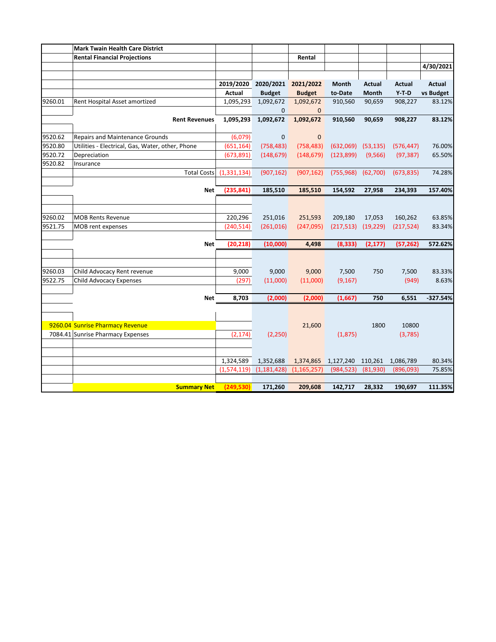|         | <b>Mark Twain Health Care District</b>           |               |                     |               |            |               |               |               |
|---------|--------------------------------------------------|---------------|---------------------|---------------|------------|---------------|---------------|---------------|
|         | <b>Rental Financial Projections</b>              |               |                     | Rental        |            |               |               |               |
|         |                                                  |               |                     |               |            |               |               | 4/30/2021     |
|         |                                                  |               |                     |               |            |               |               |               |
|         |                                                  | 2019/2020     | 2020/2021 2021/2022 |               | Month      | <b>Actual</b> | <b>Actual</b> | <b>Actual</b> |
|         |                                                  | Actual        | <b>Budget</b>       | <b>Budget</b> | to-Date    | <b>Month</b>  | $Y-T-D$       | vs Budget     |
| 9260.01 | Rent Hospital Asset amortized                    | 1,095,293     | 1,092,672           | 1,092,672     | 910,560    | 90,659        | 908,227       | 83.12%        |
|         |                                                  |               | $\Omega$            | $\mathbf{0}$  |            |               |               |               |
|         | <b>Rent Revenues</b>                             | 1,095,293     | 1,092,672           | 1,092,672     | 910,560    | 90,659        | 908,227       | 83.12%        |
|         |                                                  |               |                     |               |            |               |               |               |
| 9520.62 | <b>Repairs and Maintenance Grounds</b>           | (6,079)       | $\mathbf 0$         | $\mathbf 0$   |            |               |               |               |
| 9520.80 | Utilities - Electrical, Gas, Water, other, Phone | (651, 164)    | (758, 483)          | (758, 483)    | (632,069)  | (53, 135)     | (576, 447)    | 76.00%        |
| 9520.72 | Depreciation                                     | (673, 891)    | (148, 679)          | (148, 679)    | (123, 899) | (9, 566)      | (97, 387)     | 65.50%        |
| 9520.82 | Insurance                                        |               |                     |               |            |               |               |               |
|         | <b>Total Costs</b>                               | (1, 331, 134) | (907, 162)          | (907, 162)    | (755,968)  | (62,700)      | (673, 835)    | 74.28%        |
|         |                                                  |               |                     |               |            |               |               |               |
|         | <b>Net</b>                                       | (235, 841)    | 185,510             | 185,510       | 154,592    | 27,958        | 234,393       | 157.40%       |
|         |                                                  |               |                     |               |            |               |               |               |
|         |                                                  |               |                     |               |            |               |               |               |
| 9260.02 | <b>MOB Rents Revenue</b>                         | 220,296       | 251,016             | 251,593       | 209,180    | 17,053        | 160,262       | 63.85%        |
| 9521.75 | MOB rent expenses                                | (240, 514)    | (261, 016)          | (247,095)     | (217, 513) | (19, 229)     | (217, 524)    | 83.34%        |
|         |                                                  |               |                     |               |            |               |               |               |
|         | <b>Net</b>                                       | (20, 218)     | (10,000)            | 4,498         | (8, 333)   | (2, 177)      | (57, 262)     | 572.62%       |
|         |                                                  |               |                     |               |            |               |               |               |
|         |                                                  |               |                     |               |            |               |               |               |
| 9260.03 | Child Advocacy Rent revenue                      | 9,000         | 9,000               | 9,000         | 7,500      | 750           | 7,500         | 83.33%        |
| 9522.75 | Child Advocacy Expenses                          | (297)         | (11,000)            | (11,000)      | (9, 167)   |               | (949)         | 8.63%         |
|         |                                                  |               |                     |               |            |               |               |               |
|         | <b>Net</b>                                       | 8,703         | (2,000)             | (2,000)       | (1,667)    | 750           | 6,551         | $-327.54%$    |
|         |                                                  |               |                     |               |            |               |               |               |
|         |                                                  |               |                     |               |            |               |               |               |
|         | 9260.04 Sunrise Pharmacy Revenue                 |               |                     | 21,600        |            | 1800          | 10800         |               |
|         | 7084.41 Sunrise Pharmacy Expenses                | (2, 174)      | (2, 250)            |               | (1,875)    |               | (3,785)       |               |
|         |                                                  |               |                     |               |            |               |               |               |
|         |                                                  |               |                     |               |            |               |               |               |
|         |                                                  | 1,324,589     | 1,352,688           | 1,374,865     | 1,127,240  | 110,261       | 1,086,789     | 80.34%        |
|         |                                                  | (1,574,119)   | (1, 181, 428)       | (1, 165, 257) | (984, 523) | (81,930)      | (896,093)     | 75.85%        |
|         |                                                  |               |                     |               |            |               |               |               |
|         | <b>Summary Net</b>                               | (249,530)     | 171,260             | 209,608       | 142,717    | 28,332        | 190,697       | 111.35%       |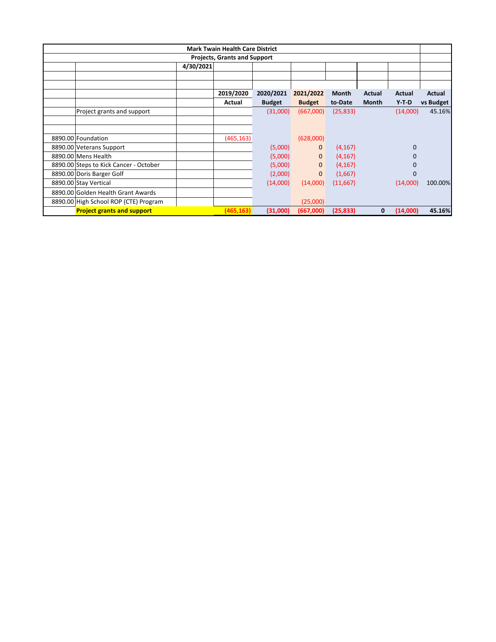| <b>Mark Twain Health Care District</b> |                                        |           |            |               |               |              |              |              |           |
|----------------------------------------|----------------------------------------|-----------|------------|---------------|---------------|--------------|--------------|--------------|-----------|
| <b>Projects, Grants and Support</b>    |                                        |           |            |               |               |              |              |              |           |
|                                        |                                        | 4/30/2021 |            |               |               |              |              |              |           |
|                                        |                                        |           |            |               |               |              |              |              |           |
|                                        |                                        |           |            |               |               |              |              |              |           |
|                                        |                                        |           | 2019/2020  | 2020/2021     | 2021/2022     | <b>Month</b> | Actual       | Actual       | Actual    |
|                                        |                                        |           | Actual     | <b>Budget</b> | <b>Budget</b> | to-Date      | <b>Month</b> | $Y-T-D$      | vs Budget |
|                                        | Project grants and support             |           |            | (31,000)      | (667,000)     | (25, 833)    |              | (14,000)     | 45.16%    |
|                                        |                                        |           |            |               |               |              |              |              |           |
|                                        |                                        |           |            |               |               |              |              |              |           |
|                                        | 8890.00 Foundation                     |           | (465, 163) |               | (628,000)     |              |              |              |           |
|                                        | 8890.00 Veterans Support               |           |            | (5,000)       | $\mathbf{0}$  | (4, 167)     |              | $\mathbf{0}$ |           |
|                                        | 8890.00 Mens Health                    |           |            | (5,000)       | $\mathbf{0}$  | (4, 167)     |              | $\Omega$     |           |
|                                        | 8890.00 Steps to Kick Cancer - October |           |            | (5,000)       | $\mathbf{0}$  | (4, 167)     |              | $\Omega$     |           |
|                                        | 8890.00 Doris Barger Golf              |           |            | (2,000)       | $\mathbf{0}$  | (1,667)      |              | $\mathbf{0}$ |           |
|                                        | 8890.00 Stay Vertical                  |           |            | (14,000)      | (14,000)      | (11,667)     |              | (14,000)     | 100.00%   |
|                                        | 8890.00 Golden Health Grant Awards     |           |            |               |               |              |              |              |           |
|                                        | 8890.00 High School ROP (CTE) Program  |           |            |               | (25,000)      |              |              |              |           |
|                                        | <b>Project grants and support</b>      |           | (465, 163) | (31,000)      | (667,000)     | (25, 833)    | 0            | (14,000)     | 45.16%    |